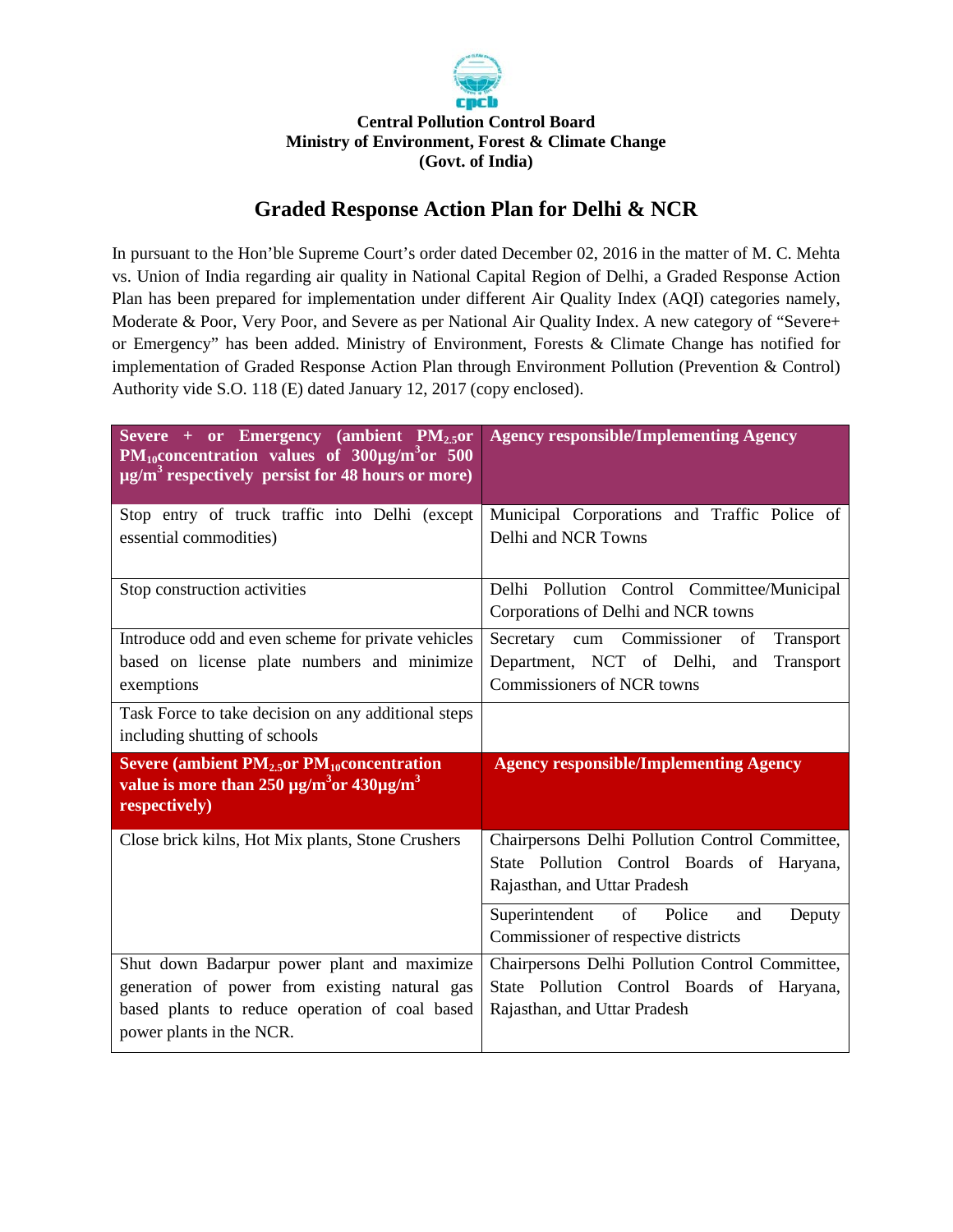

## **Central Pollution Control Board Ministry of Environment, Forest & Climate Change (Govt. of India)**

## **Graded Response Action Plan for Delhi & NCR**

In pursuant to the Hon'ble Supreme Court's order dated December 02, 2016 in the matter of M. C. Mehta vs. Union of India regarding air quality in National Capital Region of Delhi, a Graded Response Action Plan has been prepared for implementation under different Air Quality Index (AQI) categories namely, Moderate & Poor, Very Poor, and Severe as per National Air Quality Index. A new category of "Severe+ or Emergency" has been added. Ministry of Environment, Forests & Climate Change has notified for implementation of Graded Response Action Plan through Environment Pollution (Prevention & Control) Authority vide S.O. 118 (E) dated January 12, 2017 (copy enclosed).

| Severe + or Emergency (ambient $PM2.5$ or<br>$PM_{10}$ concentration values of $300\mu g/m^3$ or 500<br>$\mu$ g/m <sup>3</sup> respectively persist for 48 hours or more)  | <b>Agency responsible/Implementing Agency</b>                                                                                 |
|----------------------------------------------------------------------------------------------------------------------------------------------------------------------------|-------------------------------------------------------------------------------------------------------------------------------|
| Stop entry of truck traffic into Delhi (except<br>essential commodities)                                                                                                   | Municipal Corporations and Traffic Police of<br>Delhi and NCR Towns                                                           |
| Stop construction activities                                                                                                                                               | Delhi Pollution Control Committee/Municipal<br>Corporations of Delhi and NCR towns                                            |
| Introduce odd and even scheme for private vehicles<br>based on license plate numbers and minimize<br>exemptions                                                            | Secretary cum Commissioner<br>of<br>Transport<br>Department, NCT of Delhi,<br>Transport<br>and<br>Commissioners of NCR towns  |
| Task Force to take decision on any additional steps<br>including shutting of schools                                                                                       |                                                                                                                               |
| Severe (ambient $PM2.5$ or $PM10$ concentration<br>value is more than 250 $\mu$ g/m <sup>3</sup> or 430 $\mu$ g/m <sup>3</sup><br>respectively)                            | <b>Agency responsible/Implementing Agency</b>                                                                                 |
| Close brick kilns, Hot Mix plants, Stone Crushers                                                                                                                          | Chairpersons Delhi Pollution Control Committee,<br>State Pollution Control Boards of Haryana,<br>Rajasthan, and Uttar Pradesh |
|                                                                                                                                                                            | Superintendent<br>of<br>Police<br>and<br>Deputy<br>Commissioner of respective districts                                       |
| Shut down Badarpur power plant and maximize<br>generation of power from existing natural gas<br>based plants to reduce operation of coal based<br>power plants in the NCR. | Chairpersons Delhi Pollution Control Committee,<br>State Pollution Control Boards of Haryana,<br>Rajasthan, and Uttar Pradesh |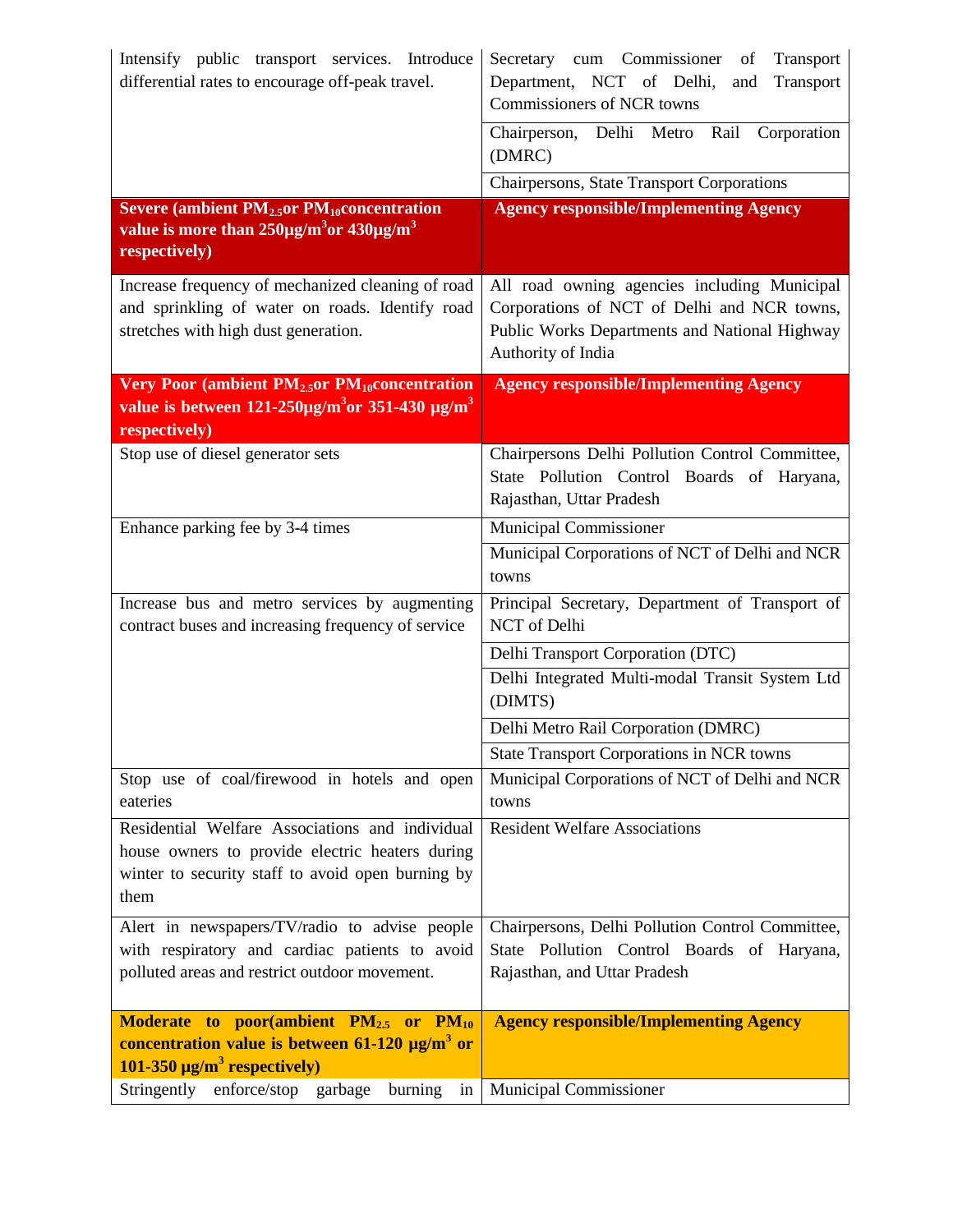| Intensify public transport services. Introduce<br>differential rates to encourage off-peak travel.                                                                          | Secretary cum Commissioner<br>Transport<br>of<br>Department, NCT of Delhi,<br>Transport<br>and<br>Commissioners of NCR towns                                       |
|-----------------------------------------------------------------------------------------------------------------------------------------------------------------------------|--------------------------------------------------------------------------------------------------------------------------------------------------------------------|
|                                                                                                                                                                             | Chairperson, Delhi Metro<br>Rail<br>Corporation<br>(DMRC)                                                                                                          |
|                                                                                                                                                                             | Chairpersons, State Transport Corporations                                                                                                                         |
| Severe (ambient $PM2.5$ or $PM10$ concentration<br>value is more than $250\mu g/m^3$ or $430\mu g/m^3$<br>respectively)                                                     | <b>Agency responsible/Implementing Agency</b>                                                                                                                      |
| Increase frequency of mechanized cleaning of road<br>and sprinkling of water on roads. Identify road<br>stretches with high dust generation.                                | All road owning agencies including Municipal<br>Corporations of NCT of Delhi and NCR towns,<br>Public Works Departments and National Highway<br>Authority of India |
| Very Poor (ambient $PM_{2.5}$ or $PM_{10}$ concentration<br>value is between $121-250 \mu g/m^3$ or 351-430 $\mu g/m^3$<br>respectively)                                    | <b>Agency responsible/Implementing Agency</b>                                                                                                                      |
| Stop use of diesel generator sets                                                                                                                                           | Chairpersons Delhi Pollution Control Committee,<br>State Pollution Control Boards of Haryana,<br>Rajasthan, Uttar Pradesh                                          |
| Enhance parking fee by 3-4 times                                                                                                                                            | Municipal Commissioner<br>Municipal Corporations of NCT of Delhi and NCR<br>towns                                                                                  |
| Increase bus and metro services by augmenting<br>contract buses and increasing frequency of service                                                                         | Principal Secretary, Department of Transport of<br>NCT of Delhi                                                                                                    |
|                                                                                                                                                                             | Delhi Transport Corporation (DTC)                                                                                                                                  |
|                                                                                                                                                                             | Delhi Integrated Multi-modal Transit System Ltd<br>(DIMTS)                                                                                                         |
|                                                                                                                                                                             | Delhi Metro Rail Corporation (DMRC)                                                                                                                                |
|                                                                                                                                                                             | <b>State Transport Corporations in NCR towns</b>                                                                                                                   |
| Stop use of coal/firewood in hotels and open<br>eateries                                                                                                                    | Municipal Corporations of NCT of Delhi and NCR<br>towns                                                                                                            |
| Residential Welfare Associations and individual<br>house owners to provide electric heaters during<br>winter to security staff to avoid open burning by<br>them             | <b>Resident Welfare Associations</b>                                                                                                                               |
| Alert in newspapers/TV/radio to advise people<br>with respiratory and cardiac patients to avoid<br>polluted areas and restrict outdoor movement.                            | Chairpersons, Delhi Pollution Control Committee,<br>State Pollution Control Boards of Haryana,<br>Rajasthan, and Uttar Pradesh                                     |
| <b>Moderate to poor(ambient <math>PM_{2.5}</math> or <math>PM_{10}</math>)</b><br>concentration value is between $61-120 \mu g/m^3$ or<br>$101-350 \mu g/m^3$ respectively) | <b>Agency responsible/Implementing Agency</b>                                                                                                                      |
| Stringently enforce/stop garbage<br>burning<br>in                                                                                                                           | Municipal Commissioner                                                                                                                                             |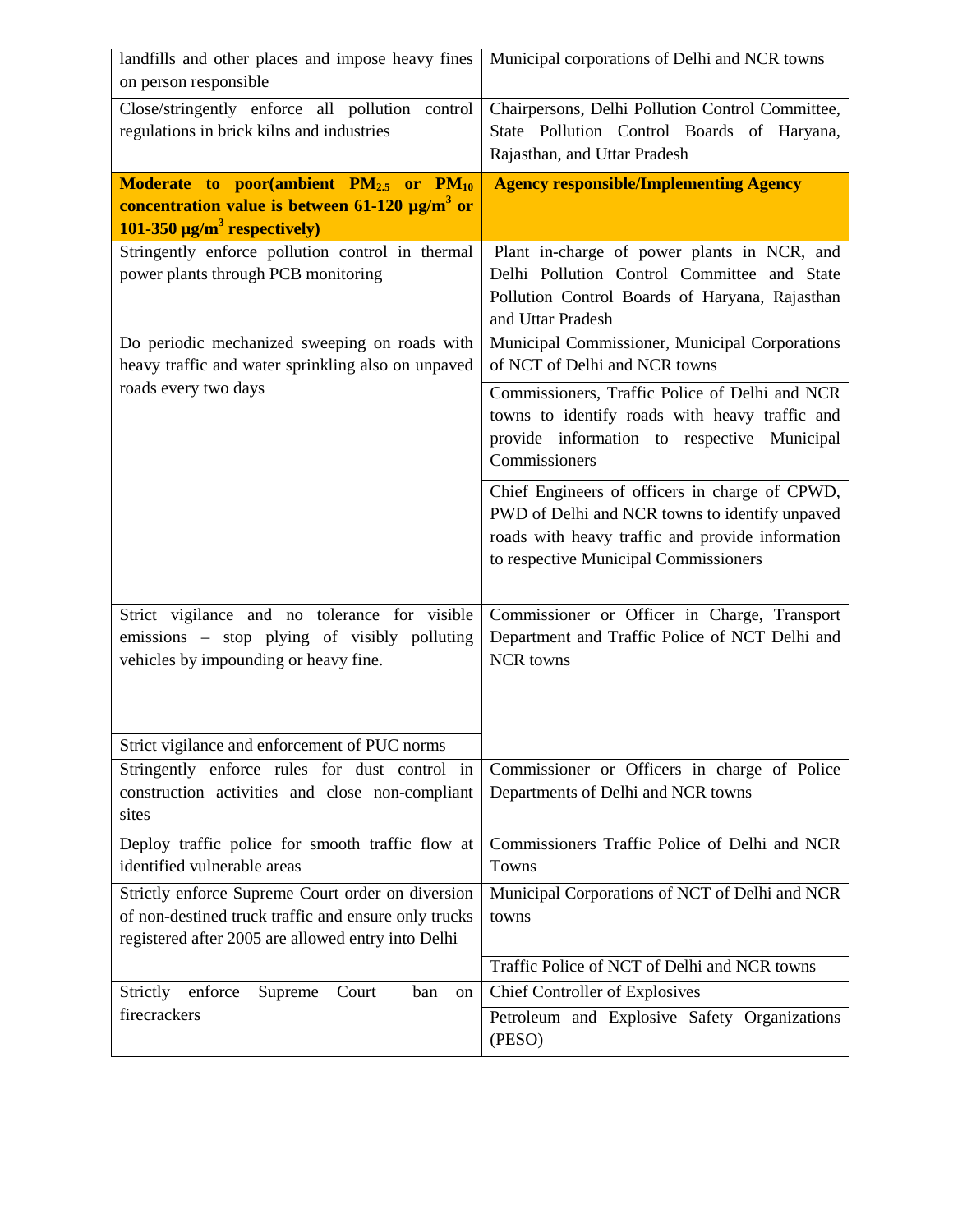| landfills and other places and impose heavy fines<br>on person responsible                                                                                      | Municipal corporations of Delhi and NCR towns                                                                                                                                                 |
|-----------------------------------------------------------------------------------------------------------------------------------------------------------------|-----------------------------------------------------------------------------------------------------------------------------------------------------------------------------------------------|
| Close/stringently enforce all pollution control<br>regulations in brick kilns and industries                                                                    | Chairpersons, Delhi Pollution Control Committee,<br>State Pollution Control Boards of Haryana,<br>Rajasthan, and Uttar Pradesh                                                                |
| <b>Moderate to poor(ambient <math>PM_{2.5}</math> or <math>PM_{10}</math></b>                                                                                   | <b>Agency responsible/Implementing Agency</b>                                                                                                                                                 |
| concentration value is between $61-120 \mu g/m^3$ or                                                                                                            |                                                                                                                                                                                               |
| $101-350 \mu g/m^3$ respectively)                                                                                                                               |                                                                                                                                                                                               |
| Stringently enforce pollution control in thermal<br>power plants through PCB monitoring                                                                         | Plant in-charge of power plants in NCR, and<br>Delhi Pollution Control Committee and State<br>Pollution Control Boards of Haryana, Rajasthan<br>and Uttar Pradesh                             |
| Do periodic mechanized sweeping on roads with<br>heavy traffic and water sprinkling also on unpaved                                                             | Municipal Commissioner, Municipal Corporations<br>of NCT of Delhi and NCR towns                                                                                                               |
| roads every two days                                                                                                                                            | Commissioners, Traffic Police of Delhi and NCR<br>towns to identify roads with heavy traffic and<br>provide information to respective Municipal<br>Commissioners                              |
|                                                                                                                                                                 | Chief Engineers of officers in charge of CPWD,<br>PWD of Delhi and NCR towns to identify unpaved<br>roads with heavy traffic and provide information<br>to respective Municipal Commissioners |
| Strict vigilance and no tolerance for visible<br>emissions - stop plying of visibly polluting<br>vehicles by impounding or heavy fine.                          | Commissioner or Officer in Charge, Transport<br>Department and Traffic Police of NCT Delhi and<br>NCR towns                                                                                   |
| Strict vigilance and enforcement of PUC norms                                                                                                                   |                                                                                                                                                                                               |
| Stringently enforce rules for dust control in<br>construction activities and close non-compliant<br>sites                                                       | Commissioner or Officers in charge of Police<br>Departments of Delhi and NCR towns                                                                                                            |
| Deploy traffic police for smooth traffic flow at<br>identified vulnerable areas                                                                                 | Commissioners Traffic Police of Delhi and NCR<br>Towns                                                                                                                                        |
| Strictly enforce Supreme Court order on diversion<br>of non-destined truck traffic and ensure only trucks<br>registered after 2005 are allowed entry into Delhi | Municipal Corporations of NCT of Delhi and NCR<br>towns                                                                                                                                       |
|                                                                                                                                                                 | Traffic Police of NCT of Delhi and NCR towns                                                                                                                                                  |
| Strictly enforce<br>Supreme<br>Court<br>ban<br>on                                                                                                               | <b>Chief Controller of Explosives</b>                                                                                                                                                         |
| firecrackers                                                                                                                                                    | Petroleum and Explosive Safety Organizations<br>(PESO)                                                                                                                                        |